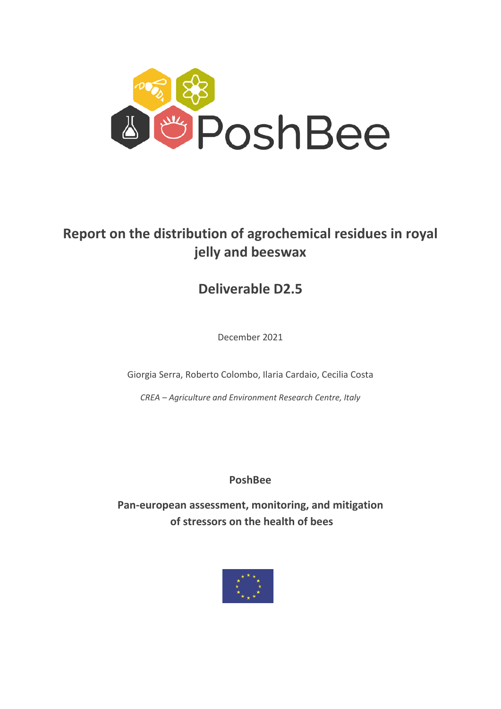

# **Report on the distribution of agrochemical residues in royal jelly and beeswax**

# **Deliverable D2.5**

December 2021

Giorgia Serra, Roberto Colombo, Ilaria Cardaio, Cecilia Costa

*CREA – Agriculture and Environment Research Centre, Italy*

# **PoshBee**

**Pan-european assessment, monitoring, and mitigation of stressors on the health of bees** 

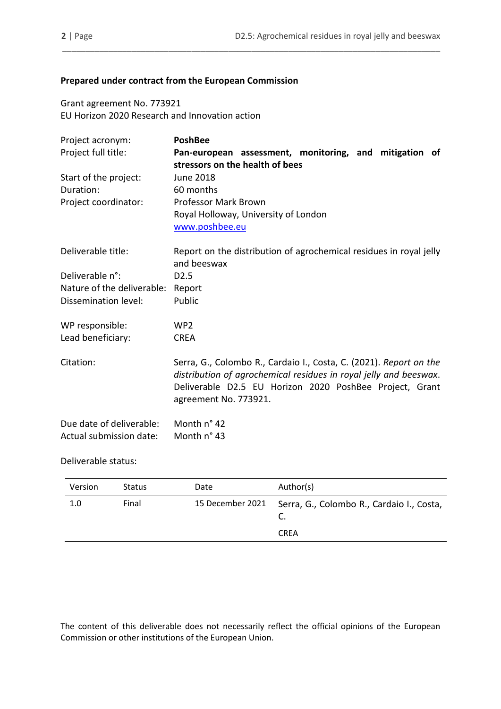# **Prepared under contract from the European Commission**

Grant agreement No. 773921 EU Horizon 2020 Research and Innovation action

| Project acronym:           | <b>PoshBee</b>                                                                                                                                                                                                              |  |  |  |  |
|----------------------------|-----------------------------------------------------------------------------------------------------------------------------------------------------------------------------------------------------------------------------|--|--|--|--|
| Project full title:        | Pan-european assessment, monitoring, and mitigation of                                                                                                                                                                      |  |  |  |  |
|                            | stressors on the health of bees                                                                                                                                                                                             |  |  |  |  |
| Start of the project:      | <b>June 2018</b>                                                                                                                                                                                                            |  |  |  |  |
| Duration:                  | 60 months                                                                                                                                                                                                                   |  |  |  |  |
| Project coordinator:       | <b>Professor Mark Brown</b>                                                                                                                                                                                                 |  |  |  |  |
|                            | Royal Holloway, University of London                                                                                                                                                                                        |  |  |  |  |
|                            | www.poshbee.eu                                                                                                                                                                                                              |  |  |  |  |
| Deliverable title:         | Report on the distribution of agrochemical residues in royal jelly<br>and beeswax                                                                                                                                           |  |  |  |  |
| Deliverable n°:            |                                                                                                                                                                                                                             |  |  |  |  |
|                            | D <sub>2.5</sub>                                                                                                                                                                                                            |  |  |  |  |
| Nature of the deliverable: | Report                                                                                                                                                                                                                      |  |  |  |  |
| Dissemination level:       | Public                                                                                                                                                                                                                      |  |  |  |  |
| WP responsible:            | WP <sub>2</sub>                                                                                                                                                                                                             |  |  |  |  |
| Lead beneficiary:          | <b>CREA</b>                                                                                                                                                                                                                 |  |  |  |  |
| Citation:                  | Serra, G., Colombo R., Cardaio I., Costa, C. (2021). Report on the<br>distribution of agrochemical residues in royal jelly and beeswax.<br>Deliverable D2.5 EU Horizon 2020 PoshBee Project, Grant<br>agreement No. 773921. |  |  |  |  |
| Due date of deliverable:   | Month n° 42                                                                                                                                                                                                                 |  |  |  |  |
| Actual submission date:    | Month n° 43                                                                                                                                                                                                                 |  |  |  |  |

\_\_\_\_\_\_\_\_\_\_\_\_\_\_\_\_\_\_\_\_\_\_\_\_\_\_\_\_\_\_\_\_\_\_\_\_\_\_\_\_\_\_\_\_\_\_\_\_\_\_\_\_\_\_\_\_\_\_\_\_\_\_\_\_\_\_\_\_\_\_\_\_\_\_\_\_\_\_\_\_\_\_

#### Deliverable status:

| Version | <b>Status</b> | Date             | Author(s)                                 |
|---------|---------------|------------------|-------------------------------------------|
| 1.0     | Final         | 15 December 2021 | Serra, G., Colombo R., Cardaio I., Costa, |
|         |               |                  | <b>CREA</b>                               |

The content of this deliverable does not necessarily reflect the official opinions of the European Commission or other institutions of the European Union.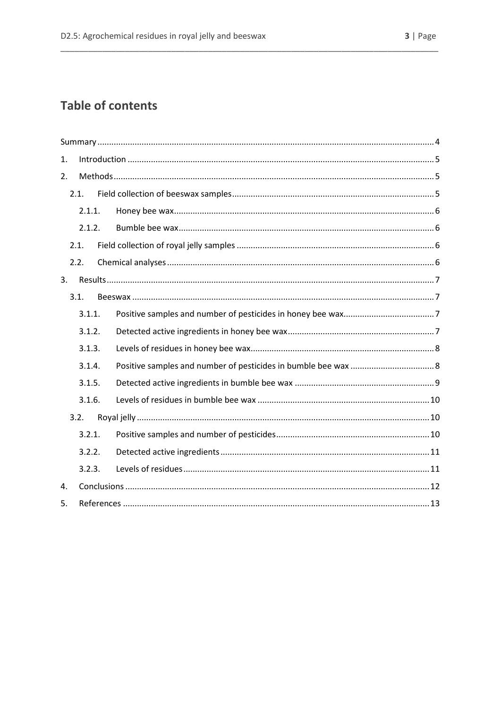# **Table of contents**

| 1.     |                  |  |  |  |  |
|--------|------------------|--|--|--|--|
| 2.     |                  |  |  |  |  |
|        | 2.1.             |  |  |  |  |
|        | 2.1.1.<br>2.1.2. |  |  |  |  |
|        |                  |  |  |  |  |
|        | 2.1.             |  |  |  |  |
|        | 2.2.             |  |  |  |  |
| 3.     |                  |  |  |  |  |
|        | 3.1.             |  |  |  |  |
|        | 3.1.1.           |  |  |  |  |
|        | 3.1.2.           |  |  |  |  |
| 3.1.3. |                  |  |  |  |  |
|        | 3.1.4.           |  |  |  |  |
| 3.1.5. |                  |  |  |  |  |
|        | 3.1.6.           |  |  |  |  |
|        | 3.2.             |  |  |  |  |
|        | 3.2.1.           |  |  |  |  |
|        | 3.2.2.           |  |  |  |  |
|        | 3.2.3.           |  |  |  |  |
| 4.     |                  |  |  |  |  |
| 5.     |                  |  |  |  |  |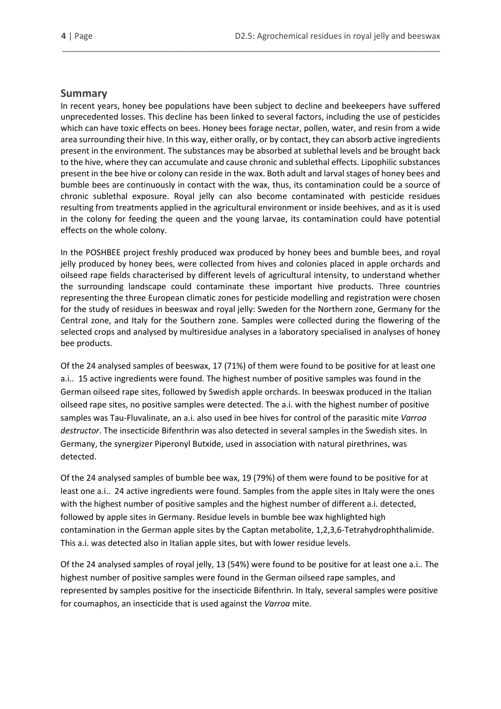#### <span id="page-3-0"></span>**Summary**

In recent years, honey bee populations have been subject to decline and beekeepers have suffered unprecedented losses. This decline has been linked to several factors, including the use of pesticides which can have toxic effects on bees. Honey bees forage nectar, pollen, water, and resin from a wide area surrounding their hive. In this way, either orally, or by contact, they can absorb active ingredients present in the environment. The substances may be absorbed at sublethal levels and be brought back to the hive, where they can accumulate and cause chronic and sublethal effects. Lipophilic substances present in the bee hive or colony can reside in the wax. Both adult and larval stages of honey bees and bumble bees are continuously in contact with the wax, thus, its contamination could be a source of chronic sublethal exposure. Royal jelly can also become contaminated with pesticide residues resulting from treatments applied in the agricultural environment or inside beehives, and as it is used in the colony for feeding the queen and the young larvae, its contamination could have potential effects on the whole colony.

\_\_\_\_\_\_\_\_\_\_\_\_\_\_\_\_\_\_\_\_\_\_\_\_\_\_\_\_\_\_\_\_\_\_\_\_\_\_\_\_\_\_\_\_\_\_\_\_\_\_\_\_\_\_\_\_\_\_\_\_\_\_\_\_\_\_\_\_\_\_\_\_\_\_\_\_\_\_\_\_\_\_

In the POSHBEE project freshly produced wax produced by honey bees and bumble bees, and royal jelly produced by honey bees, were collected from hives and colonies placed in apple orchards and oilseed rape fields characterised by different levels of agricultural intensity, to understand whether the surrounding landscape could contaminate these important hive products. Three countries representing the three European climatic zones for pesticide modelling and registration were chosen for the study of residues in beeswax and royal jelly: Sweden for the Northern zone, Germany for the Central zone, and Italy for the Southern zone. Samples were collected during the flowering of the selected crops and analysed by multiresidue analyses in a laboratory specialised in analyses of honey bee products.

Of the 24 analysed samples of beeswax, 17 (71%) of them were found to be positive for at least one a.i.. 15 active ingredients were found. The highest number of positive samples was found in the German oilseed rape sites, followed by Swedish apple orchards. In beeswax produced in the Italian oilseed rape sites, no positive samples were detected. The a.i. with the highest number of positive samples was Tau-Fluvalinate, an a.i. also used in bee hives for control of the parasitic mite *Varroa destructor*. The insecticide Bifenthrin was also detected in several samples in the Swedish sites. In Germany, the synergizer Piperonyl Butxide, used in association with natural pirethrines, was detected.

Of the 24 analysed samples of bumble bee wax, 19 (79%) of them were found to be positive for at least one a.i.. 24 active ingredients were found. Samples from the apple sites in Italy were the ones with the highest number of positive samples and the highest number of different a.i. detected, followed by apple sites in Germany. Residue levels in bumble bee wax highlighted high contamination in the German apple sites by the Captan metabolite, 1,2,3,6-Tetrahydrophthalimide. This a.i. was detected also in Italian apple sites, but with lower residue levels.

Of the 24 analysed samples of royal jelly, 13 (54%) were found to be positive for at least one a.i.. The highest number of positive samples were found in the German oilseed rape samples, and represented by samples positive for the insecticide Bifenthrin. In Italy, several samples were positive for coumaphos, an insecticide that is used against the *Varroa* mite.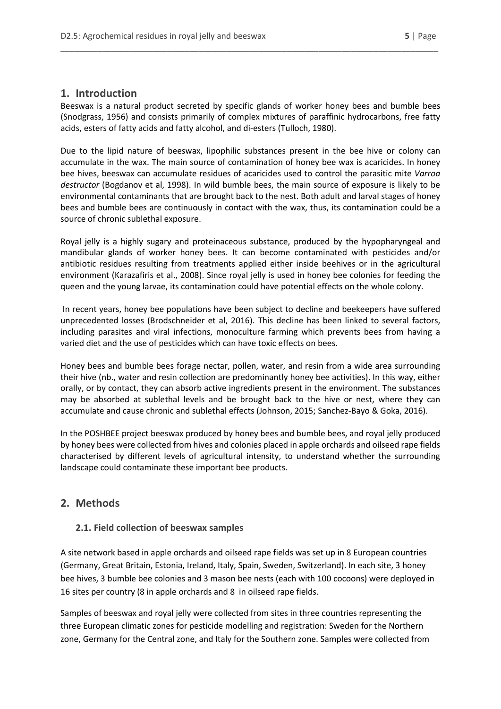# <span id="page-4-0"></span>**1. Introduction**

Beeswax is a natural product secreted by specific glands of worker honey bees and bumble bees (Snodgrass, 1956) and consists primarily of complex mixtures of paraffinic hydrocarbons, free fatty acids, esters of fatty acids and fatty alcohol, and di-esters (Tulloch, 1980).

\_\_\_\_\_\_\_\_\_\_\_\_\_\_\_\_\_\_\_\_\_\_\_\_\_\_\_\_\_\_\_\_\_\_\_\_\_\_\_\_\_\_\_\_\_\_\_\_\_\_\_\_\_\_\_\_\_\_\_\_\_\_\_\_\_\_\_\_\_\_\_\_\_\_\_\_\_\_\_\_\_\_

Due to the lipid nature of beeswax, lipophilic substances present in the bee hive or colony can accumulate in the wax. The main source of contamination of honey bee wax is acaricides. In honey bee hives, beeswax can accumulate residues of acaricides used to control the parasitic mite *Varroa destructor* (Bogdanov et al, 1998). In wild bumble bees, the main source of exposure is likely to be environmental contaminants that are brought back to the nest. Both adult and larval stages of honey bees and bumble bees are continuously in contact with the wax, thus, its contamination could be a source of chronic sublethal exposure.

Royal jelly is a highly sugary and proteinaceous substance, produced by the hypopharyngeal and mandibular glands of worker honey bees. It can become contaminated with pesticides and/or antibiotic residues resulting from treatments applied either inside beehives or in the agricultural environment (Karazafiris et al., 2008). Since royal jelly is used in honey bee colonies for feeding the queen and the young larvae, its contamination could have potential effects on the whole colony.

In recent years, honey bee populations have been subject to decline and beekeepers have suffered unprecedented losses (Brodschneider et al, 2016). This decline has been linked to several factors, including parasites and viral infections, monoculture farming which prevents bees from having a varied diet and the use of pesticides which can have toxic effects on bees.

Honey bees and bumble bees forage nectar, pollen, water, and resin from a wide area surrounding their hive (nb., water and resin collection are predominantly honey bee activities). In this way, either orally, or by contact, they can absorb active ingredients present in the environment. The substances may be absorbed at sublethal levels and be brought back to the hive or nest, where they can accumulate and cause chronic and sublethal effects (Johnson, 2015; Sanchez-Bayo & Goka, 2016).

In the POSHBEE project beeswax produced by honey bees and bumble bees, and royal jelly produced by honey bees were collected from hives and colonies placed in apple orchards and oilseed rape fields characterised by different levels of agricultural intensity, to understand whether the surrounding landscape could contaminate these important bee products.

# <span id="page-4-1"></span>**2. Methods**

#### <span id="page-4-2"></span>**2.1. Field collection of beeswax samples**

A site network based in apple orchards and oilseed rape fields was set up in 8 European countries (Germany, Great Britain, Estonia, Ireland, Italy, Spain, Sweden, Switzerland). In each site, 3 honey bee hives, 3 bumble bee colonies and 3 mason bee nests (each with 100 cocoons) were deployed in 16 sites per country (8 in apple orchards and 8 in oilseed rape fields.

Samples of beeswax and royal jelly were collected from sites in three countries representing the three European climatic zones for pesticide modelling and registration: Sweden for the Northern zone, Germany for the Central zone, and Italy for the Southern zone. Samples were collected from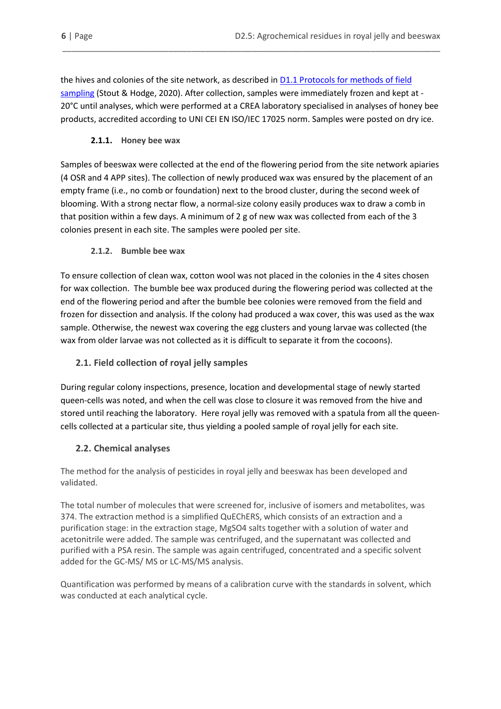the hives and colonies of the site network, as described in [D1.1 Protocols for methods of field](https://poshbee.eu/documents/1/0_0_0/0)  [sampling](https://poshbee.eu/documents/1/0_0_0/0) (Stout & Hodge, 2020). After collection, samples were immediately frozen and kept at - 20°C until analyses, which were performed at a CREA laboratory specialised in analyses of honey bee products, accredited according to UNI CEI EN ISO/IEC 17025 norm. Samples were posted on dry ice.

\_\_\_\_\_\_\_\_\_\_\_\_\_\_\_\_\_\_\_\_\_\_\_\_\_\_\_\_\_\_\_\_\_\_\_\_\_\_\_\_\_\_\_\_\_\_\_\_\_\_\_\_\_\_\_\_\_\_\_\_\_\_\_\_\_\_\_\_\_\_\_\_\_\_\_\_\_\_\_\_\_\_

#### **2.1.1. Honey bee wax**

<span id="page-5-0"></span>Samples of beeswax were collected at the end of the flowering period from the site network apiaries (4 OSR and 4 APP sites). The collection of newly produced wax was ensured by the placement of an empty frame (i.e., no comb or foundation) next to the brood cluster, during the second week of blooming. With a strong nectar flow, a normal-size colony easily produces wax to draw a comb in that position within a few days. A minimum of 2 g of new wax was collected from each of the 3 colonies present in each site. The samples were pooled per site.

#### **2.1.2. Bumble bee wax**

<span id="page-5-1"></span>To ensure collection of clean wax, cotton wool was not placed in the colonies in the 4 sites chosen for wax collection. The bumble bee wax produced during the flowering period was collected at the end of the flowering period and after the bumble bee colonies were removed from the field and frozen for dissection and analysis. If the colony had produced a wax cover, this was used as the wax sample. Otherwise, the newest wax covering the egg clusters and young larvae was collected (the wax from older larvae was not collected as it is difficult to separate it from the cocoons).

# <span id="page-5-2"></span>**2.1. Field collection of royal jelly samples**

During regular colony inspections, presence, location and developmental stage of newly started queen-cells was noted, and when the cell was close to closure it was removed from the hive and stored until reaching the laboratory. Here royal jelly was removed with a spatula from all the queencells collected at a particular site, thus yielding a pooled sample of royal jelly for each site.

# <span id="page-5-3"></span>**2.2. Chemical analyses**

The method for the analysis of pesticides in royal jelly and beeswax has been developed and validated.

The total number of molecules that were screened for, inclusive of isomers and metabolites, was 374. The extraction method is a simplified QuEChERS, which consists of an extraction and a purification stage: in the extraction stage, MgSO4 salts together with a solution of water and acetonitrile were added. The sample was centrifuged, and the supernatant was collected and purified with a PSA resin. The sample was again centrifuged, concentrated and a specific solvent added for the GC-MS/ MS or LC-MS/MS analysis.

Quantification was performed by means of a calibration curve with the standards in solvent, which was conducted at each analytical cycle.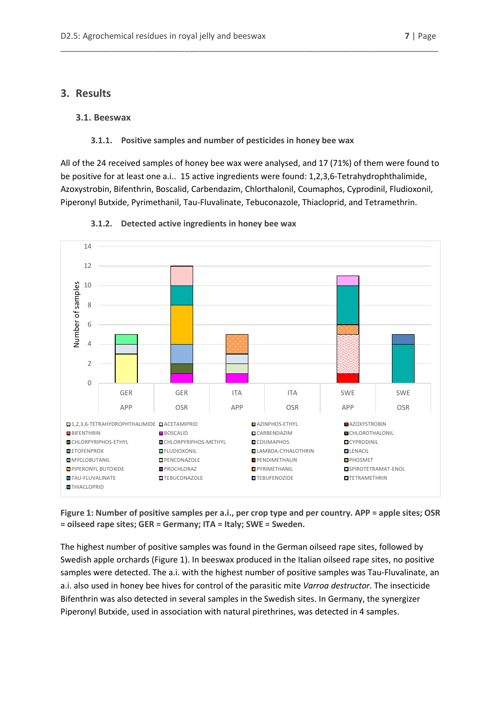#### <span id="page-6-0"></span>**3. Results**

#### <span id="page-6-1"></span>**3.1. Beeswax**

#### **3.1.1. Positive samples and number of pesticides in honey bee wax**

<span id="page-6-2"></span>All of the 24 received samples of honey bee wax were analysed, and 17 (71%) of them were found to be positive for at least one a.i.. 15 active ingredients were found: 1,2,3,6-Tetrahydrophthalimide, Azoxystrobin, Bifenthrin, Boscalid, Carbendazim, Chlorthalonil, Coumaphos, Cyprodinil, Fludioxonil, Piperonyl Butxide, Pyrimethanil, Tau-Fluvalinate, Tebuconazole, Thiacloprid, and Tetramethrin.

\_\_\_\_\_\_\_\_\_\_\_\_\_\_\_\_\_\_\_\_\_\_\_\_\_\_\_\_\_\_\_\_\_\_\_\_\_\_\_\_\_\_\_\_\_\_\_\_\_\_\_\_\_\_\_\_\_\_\_\_\_\_\_\_\_\_\_\_\_\_\_\_\_\_\_\_\_\_\_\_\_\_

<span id="page-6-3"></span>

#### **3.1.2. Detected active ingredients in honey bee wax**

**Figure 1: Number of positive samples per a.i., per crop type and per country. APP = apple sites; OSR = oilseed rape sites; GER = Germany; ITA = Italy; SWE = Sweden.**

The highest number of positive samples was found in the German oilseed rape sites, followed by Swedish apple orchards (Figure 1). In beeswax produced in the Italian oilseed rape sites, no positive samples were detected. The a.i. with the highest number of positive samples was Tau-Fluvalinate, an a.i. also used in honey bee hives for control of the parasitic mite *Varroa destructor*. The insecticide Bifenthrin was also detected in several samples in the Swedish sites. In Germany, the synergizer Piperonyl Butxide, used in association with natural pirethrines, was detected in 4 samples.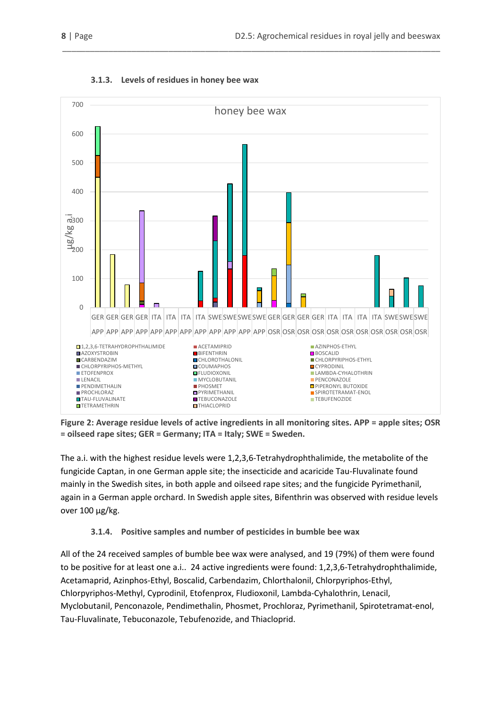<span id="page-7-0"></span>

#### **3.1.3. Levels of residues in honey bee wax**

**Figure 2: Average residue levels of active ingredients in all monitoring sites. APP = apple sites; OSR = oilseed rape sites; GER = Germany; ITA = Italy; SWE = Sweden.**

The a.i. with the highest residue levels were 1,2,3,6-Tetrahydrophthalimide, the metabolite of the fungicide Captan, in one German apple site; the insecticide and acaricide Tau-Fluvalinate found mainly in the Swedish sites, in both apple and oilseed rape sites; and the fungicide Pyrimethanil, again in a German apple orchard. In Swedish apple sites, Bifenthrin was observed with residue levels over 100 µg/kg.

# **3.1.4. Positive samples and number of pesticides in bumble bee wax**

<span id="page-7-1"></span>All of the 24 received samples of bumble bee wax were analysed, and 19 (79%) of them were found to be positive for at least one a.i.. 24 active ingredients were found: 1,2,3,6-Tetrahydrophthalimide, Acetamaprid, Azinphos-Ethyl, Boscalid, Carbendazim, Chlorthalonil, Chlorpyriphos-Ethyl, Chlorpyriphos-Methyl, Cyprodinil, Etofenprox, Fludioxonil, Lambda-Cyhalothrin, Lenacil, Myclobutanil, Penconazole, Pendimethalin, Phosmet, Prochloraz, Pyrimethanil, Spirotetramat-enol, Tau-Fluvalinate, Tebuconazole, Tebufenozide, and Thiacloprid.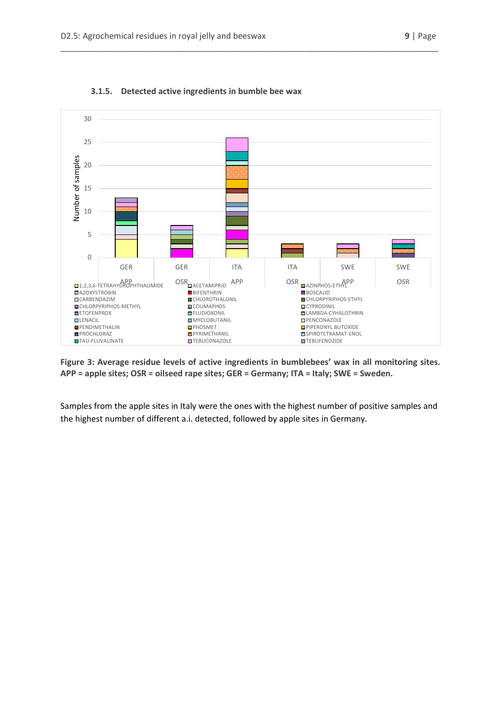<span id="page-8-0"></span>

#### **3.1.5. Detected active ingredients in bumble bee wax**

**Figure 3: Average residue levels of active ingredients in bumblebees' wax in all monitoring sites. APP = apple sites; OSR = oilseed rape sites; GER = Germany; ITA = Italy; SWE = Sweden.**

Samples from the apple sites in Italy were the ones with the highest number of positive samples and the highest number of different a.i. detected, followed by apple sites in Germany.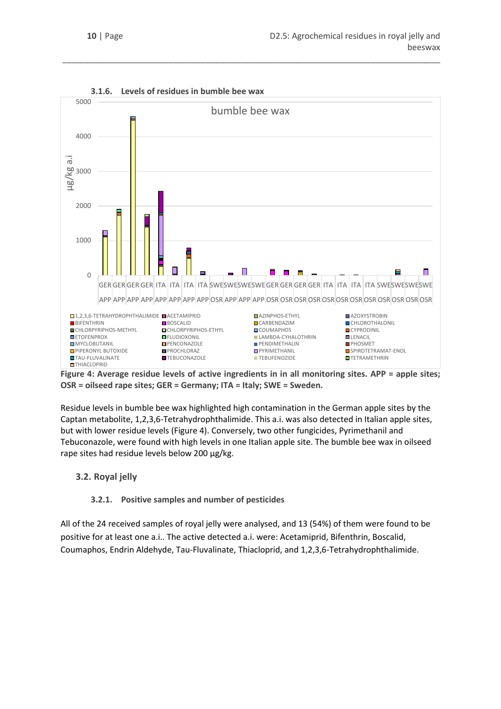<span id="page-9-0"></span>

**3.1.6. Levels of residues in bumble bee wax**

**Figure 4: Average residue levels of active ingredients in in all monitoring sites. APP = apple sites; OSR = oilseed rape sites; GER = Germany; ITA = Italy; SWE = Sweden.**

Residue levels in bumble bee wax highlighted high contamination in the German apple sites by the Captan metabolite, 1,2,3,6-Tetrahydrophthalimide. This a.i. was also detected in Italian apple sites, but with lower residue levels (Figure 4). Conversely, two other fungicides, Pyrimethanil and Tebuconazole, were found with high levels in one Italian apple site. The bumble bee wax in oilseed rape sites had residue levels below 200 µg/kg.

# <span id="page-9-1"></span>**3.2. Royal jelly**

#### **3.2.1. Positive samples and number of pesticides**

<span id="page-9-2"></span>All of the 24 received samples of royal jelly were analysed, and 13 (54%) of them were found to be positive for at least one a.i.. The active detected a.i. were: Acetamiprid, Bifenthrin, Boscalid, Coumaphos, Endrin Aldehyde, Tau-Fluvalinate, Thiacloprid, and 1,2,3,6-Tetrahydrophthalimide.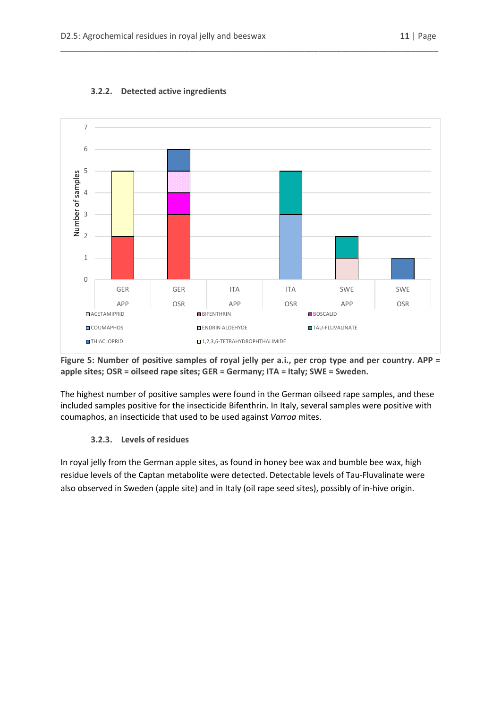

#### <span id="page-10-0"></span>**3.2.2. Detected active ingredients**

**Figure 5: Number of positive samples of royal jelly per a.i., per crop type and per country. APP = apple sites; OSR = oilseed rape sites; GER = Germany; ITA = Italy; SWE = Sweden.**

The highest number of positive samples were found in the German oilseed rape samples, and these included samples positive for the insecticide Bifenthrin. In Italy, several samples were positive with coumaphos, an insecticide that used to be used against *Varroa* mites.

#### **3.2.3. Levels of residues**

<span id="page-10-1"></span>In royal jelly from the German apple sites, as found in honey bee wax and bumble bee wax, high residue levels of the Captan metabolite were detected. Detectable levels of Tau-Fluvalinate were also observed in Sweden (apple site) and in Italy (oil rape seed sites), possibly of in-hive origin.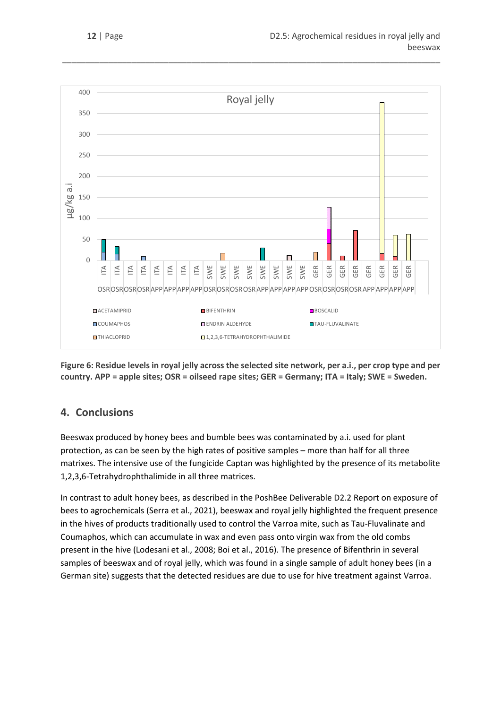

**Figure 6: Residue levels in royal jelly across the selected site network, per a.i., per crop type and per country. APP = apple sites; OSR = oilseed rape sites; GER = Germany; ITA = Italy; SWE = Sweden.**

# <span id="page-11-0"></span>**4. Conclusions**

Beeswax produced by honey bees and bumble bees was contaminated by a.i. used for plant protection, as can be seen by the high rates of positive samples – more than half for all three matrixes. The intensive use of the fungicide Captan was highlighted by the presence of its metabolite 1,2,3,6-Tetrahydrophthalimide in all three matrices.

In contrast to adult honey bees, as described in the PoshBee Deliverable D2.2 Report on exposure of bees to agrochemicals (Serra et al., 2021), beeswax and royal jelly highlighted the frequent presence in the hives of products traditionally used to control the Varroa mite, such as Tau-Fluvalinate and Coumaphos, which can accumulate in wax and even pass onto virgin wax from the old combs present in the hive (Lodesani et al., 2008; Boi et al., 2016). The presence of Bifenthrin in several samples of beeswax and of royal jelly, which was found in a single sample of adult honey bees (in a German site) suggests that the detected residues are due to use for hive treatment against Varroa.